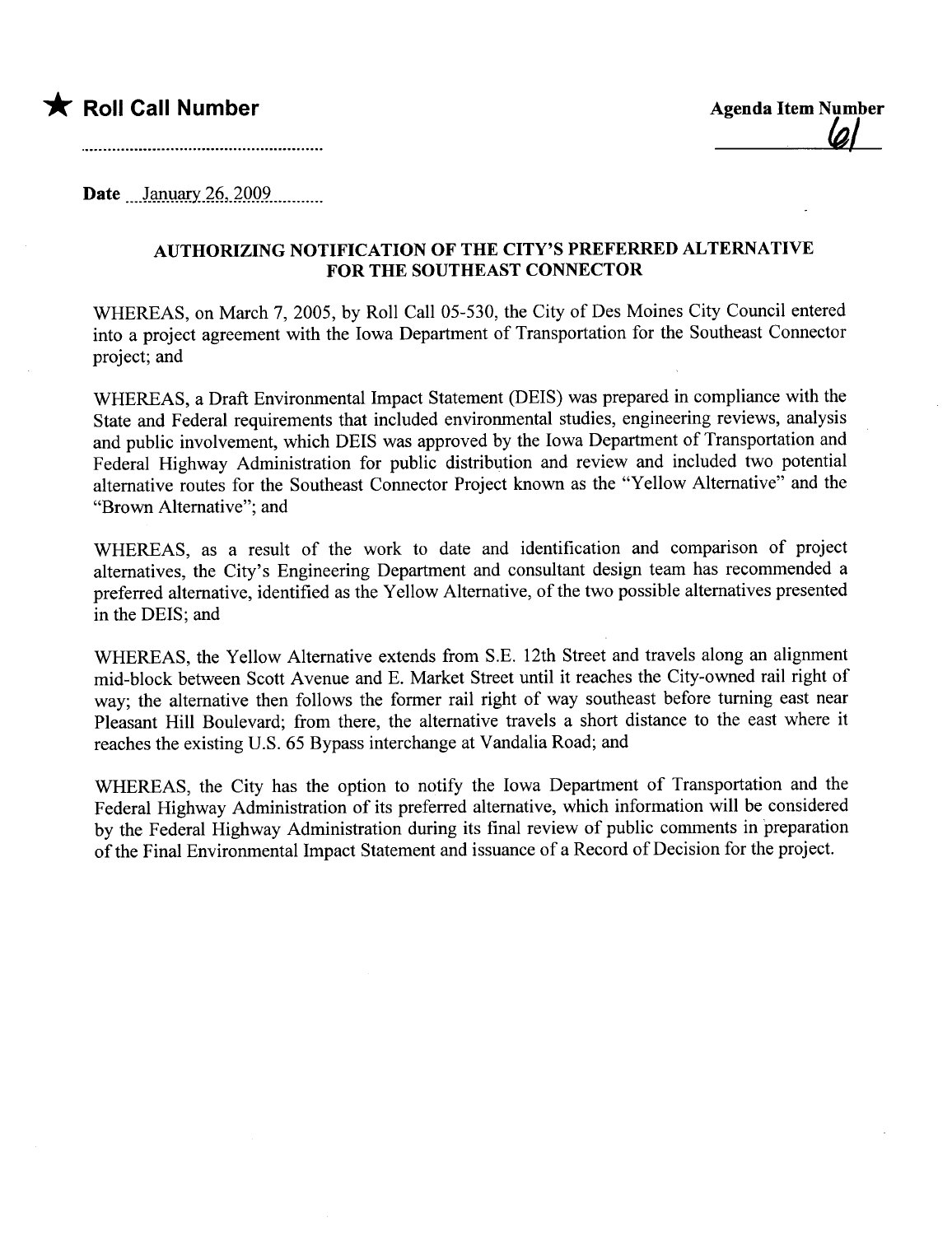



Date  $January 26, 2009$ 

## AUTHORIZING NOTIFICATION OF THE CITY'S PREFERRED ALTERNATIVE FOR THE SOUTHEAST CONNECTOR

WHEREAS, on March 7, 2005, by Roll Call 05-530, the City of Des Moines City Council entered into a project agreement with the Iowa Department of Transportation for the Southeast Connector project; and

WHEREAS, a Draft Environmental Impact Statement (DEIS) was prepared in compliance with the State and Federal requirements that included environmental studies, engineering reviews, analysis and public involvement, which DEIS was approved by the Iowa Deparment of Transportation and Federal Highway Administration for public distribution and review and included two potential alternative routes for the Southeast Connector Project known as the "Yellow Alternative" and the "Brown Alternative"; and

WHEREAS, as a result of the work to date and identification and comparison of project alternatives, the City's Engineering Deparment and consultant design team has recommended a preferred alternative, identified as the Yellow Alternative, of the two possible alternatives presented in the DEIS; and

WHEREAS, the Yellow Alternative extends from S.E. 12th Street and travels along an alignment mid-block between Scott Avenue and E. Market Street until it reaches the City-owned rail right of way; the alternative then follows the former rail right of way southeast before turning east near Pleasant Hill Boulevard; from there, the alternative travels a short distance to the east where it reaches the existing U.S. 65 Bypass interchange at Vandalia Road; and

WHEREAS, the City has the option to notify the Iowa Deparment of Transportation and the Federal Highway Administration of its preferred alternative, which information wil be considered by the Federal Highway Administration during its final review of public comments in preparation of the Final Environmental Impact Statement and issuance of a Record of Decision for the project.